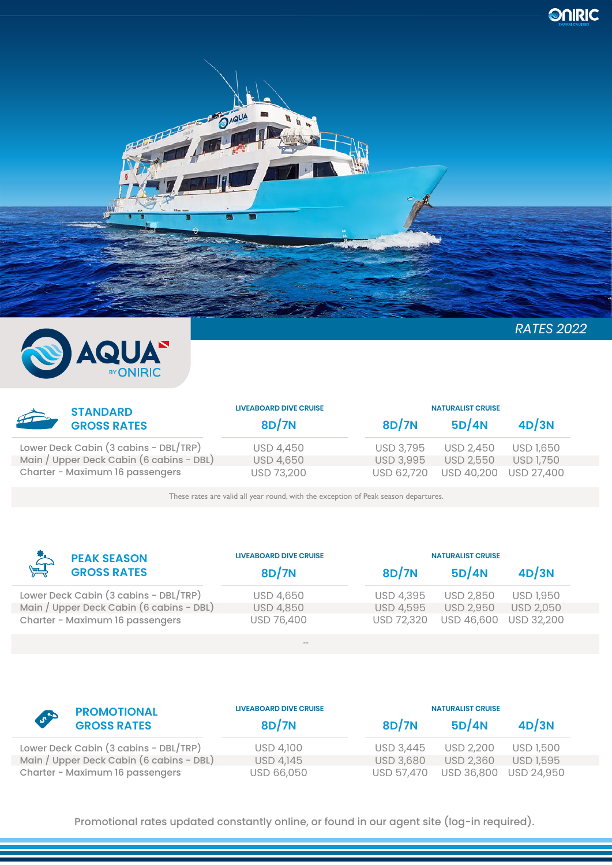



| <b>STANDARD</b>                          | <b>LIVEABOARD DIVE CRUISE</b> |                  | <b>NATURALIST CRUISE</b> |                  |  |
|------------------------------------------|-------------------------------|------------------|--------------------------|------------------|--|
| $\sum_{i=1}^{n}$<br><b>GROSS RATES</b>   | 8D/7N                         | 8D/7N            | 5D/4N                    | 4D/3N            |  |
| Lower Deck Cabin (3 cabins - DBL/TRP)    | <b>USD 4,450</b>              | <b>USD 3,795</b> | <b>USD 2,450</b>         | USD 1,650        |  |
| Main / Upper Deck Cabin (6 cabins - DBL) | <b>USD 4,650</b>              | <b>USD 3,995</b> | <b>USD 2.550</b>         | <b>USD 1,750</b> |  |
| Charter - Maximum 16 passengers          | USD 73,200                    | USD 62.720       | USD 40,200               | USD 27,400       |  |

These rates are valid all year round, with the exception of Peak season departures.

| <b>PEAK SEASON</b>                       | <b>LIVEABOARD DIVE CRUISE</b><br>8D/7N | <b>NATURALIST CRUISE</b> |                  |                   |  |
|------------------------------------------|----------------------------------------|--------------------------|------------------|-------------------|--|
| $\sum_{i=1}^{n}$<br><b>GROSS RATES</b>   |                                        | 8D/7N                    | 5D/4N            | 4D/3N             |  |
| Lower Deck Cabin (3 cabins - DBL/TRP)    | <b>USD 4,650</b>                       | <b>USD 4,395</b>         | <b>USD 2,850</b> | <b>USD 1,950</b>  |  |
| Main / Upper Deck Cabin (6 cabins - DBL) | <b>USD 4,850</b>                       | USD 4,595                | <b>USD 2,950</b> | <b>USD 2,050</b>  |  |
| Charter - Maximum 16 passengers          | USD 76,400                             | USD 72,320               | USD 46,600       | <b>USD 32,200</b> |  |
|                                          | $- -$                                  |                          |                  |                   |  |

|     | <b>PROMOTIONAL</b><br><b>GROSS RATES</b> | <b>LIVEABOARD DIVE CRUISE</b> | <b>NATURALIST CRUISE</b> |                       |           |
|-----|------------------------------------------|-------------------------------|--------------------------|-----------------------|-----------|
| 500 |                                          | <b>8D/7N</b>                  | 8D/7N                    | 5D/4N                 | 4D/3N     |
|     | Lower Deck Cabin (3 cabins - DBL/TRP)    | USD 4,100                     | <b>USD 3.445</b>         | <b>USD 2,200</b>      | USD 1,500 |
|     | Main / Upper Deck Cabin (6 cabins - DBL) | USD 4,145                     | <b>USD 3,680</b>         | <b>USD 2,360</b>      | USD 1,595 |
|     | Charter - Maximum 16 passengers          | USD 66,050                    | USD 57.470               | USD 36,800 USD 24,950 |           |

Promotional rates updated constantly online, or found in our agent site (log-in required).